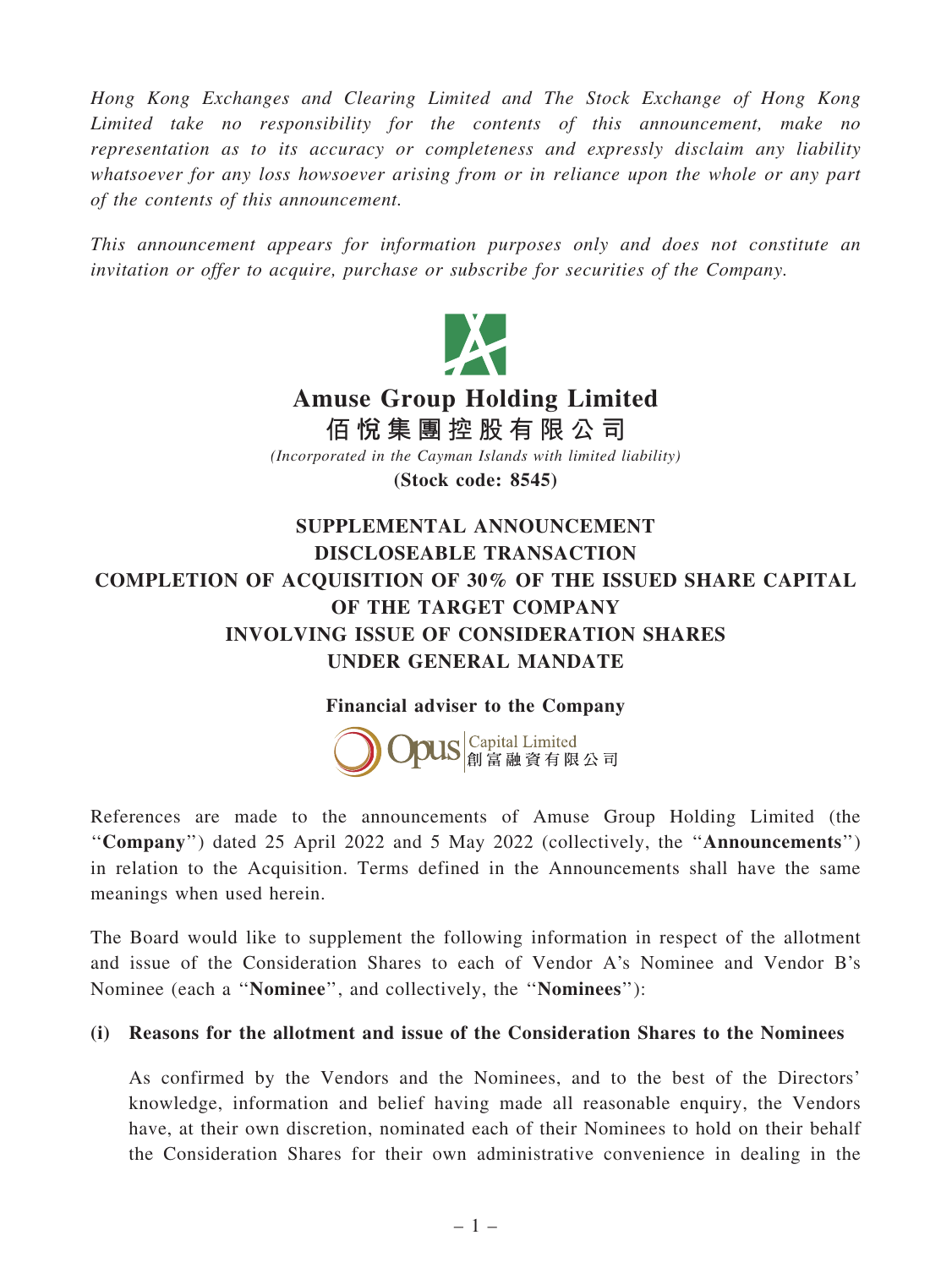Hong Kong Exchanges and Clearing Limited and The Stock Exchange of Hong Kong Limited take no responsibility for the contents of this announcement, make no representation as to its accuracy or completeness and expressly disclaim any liability whatsoever for any loss howsoever arising from or in reliance upon the whole or any part of the contents of this announcement.

This announcement appears for information purposes only and does not constitute an invitation or offer to acquire, purchase or subscribe for securities of the Company.



## INVOLVING ISSUE OF CONSIDERATION SHARES UNDER GENERAL MANDATE

## Financial adviser to the Company



References are made to the announcements of Amuse Group Holding Limited (the ''Company'') dated 25 April 2022 and 5 May 2022 (collectively, the ''Announcements'') in relation to the Acquisition. Terms defined in the Announcements shall have the same meanings when used herein.

The Board would like to supplement the following information in respect of the allotment and issue of the Consideration Shares to each of Vendor A's Nominee and Vendor B's Nominee (each a ''Nominee'', and collectively, the ''Nominees''):

## (i) Reasons for the allotment and issue of the Consideration Shares to the Nominees

As confirmed by the Vendors and the Nominees, and to the best of the Directors' knowledge, information and belief having made all reasonable enquiry, the Vendors have, at their own discretion, nominated each of their Nominees to hold on their behalf the Consideration Shares for their own administrative convenience in dealing in the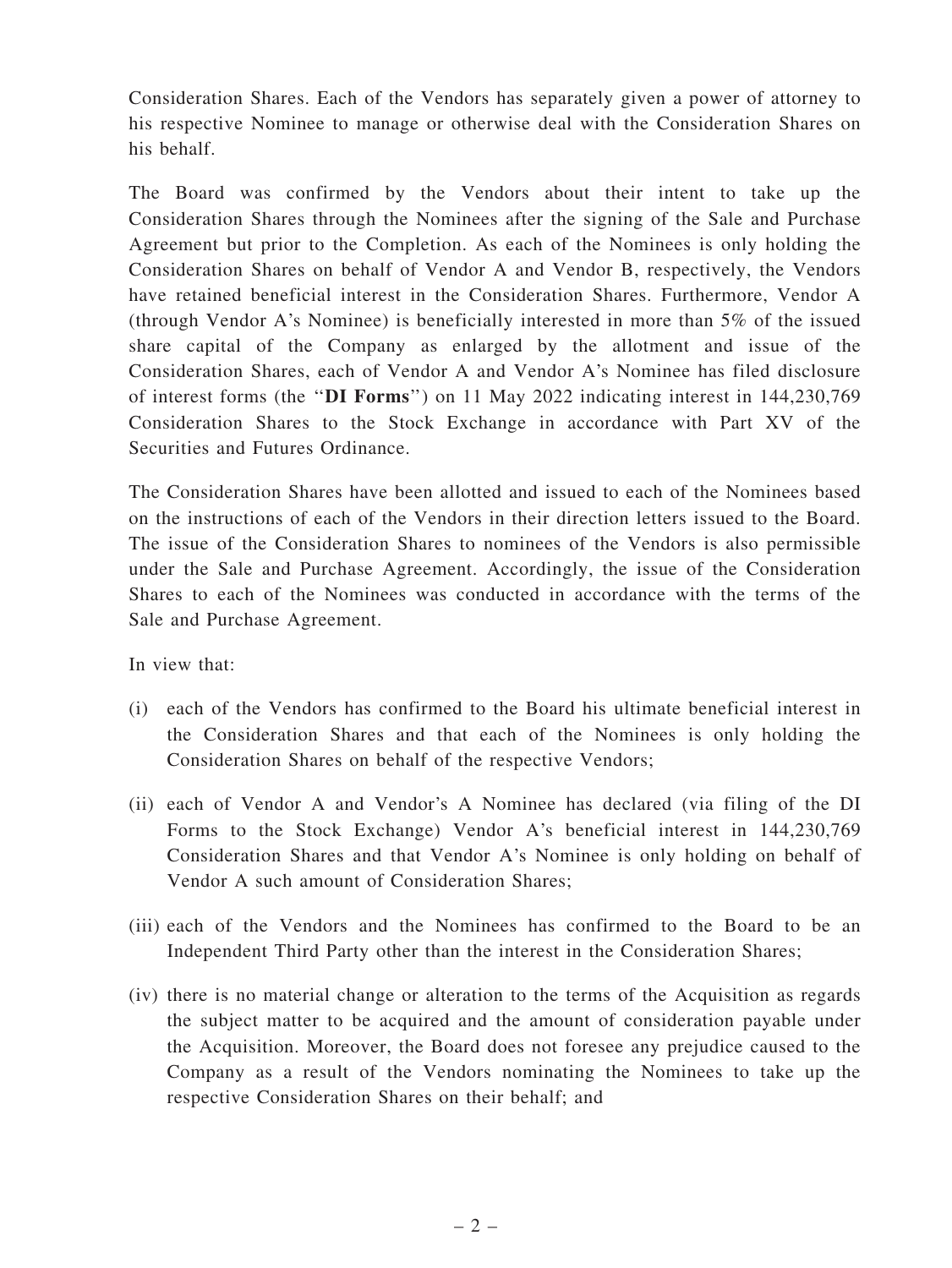Consideration Shares. Each of the Vendors has separately given a power of attorney to his respective Nominee to manage or otherwise deal with the Consideration Shares on his behalf.

The Board was confirmed by the Vendors about their intent to take up the Consideration Shares through the Nominees after the signing of the Sale and Purchase Agreement but prior to the Completion. As each of the Nominees is only holding the Consideration Shares on behalf of Vendor A and Vendor B, respectively, the Vendors have retained beneficial interest in the Consideration Shares. Furthermore, Vendor A (through Vendor A's Nominee) is beneficially interested in more than 5% of the issued share capital of the Company as enlarged by the allotment and issue of the Consideration Shares, each of Vendor A and Vendor A's Nominee has filed disclosure of interest forms (the ''DI Forms'') on 11 May 2022 indicating interest in 144,230,769 Consideration Shares to the Stock Exchange in accordance with Part XV of the Securities and Futures Ordinance.

The Consideration Shares have been allotted and issued to each of the Nominees based on the instructions of each of the Vendors in their direction letters issued to the Board. The issue of the Consideration Shares to nominees of the Vendors is also permissible under the Sale and Purchase Agreement. Accordingly, the issue of the Consideration Shares to each of the Nominees was conducted in accordance with the terms of the Sale and Purchase Agreement.

In view that:

- (i) each of the Vendors has confirmed to the Board his ultimate beneficial interest in the Consideration Shares and that each of the Nominees is only holding the Consideration Shares on behalf of the respective Vendors;
- (ii) each of Vendor A and Vendor's A Nominee has declared (via filing of the DI Forms to the Stock Exchange) Vendor A's beneficial interest in 144,230,769 Consideration Shares and that Vendor A's Nominee is only holding on behalf of Vendor A such amount of Consideration Shares;
- (iii) each of the Vendors and the Nominees has confirmed to the Board to be an Independent Third Party other than the interest in the Consideration Shares;
- (iv) there is no material change or alteration to the terms of the Acquisition as regards the subject matter to be acquired and the amount of consideration payable under the Acquisition. Moreover, the Board does not foresee any prejudice caused to the Company as a result of the Vendors nominating the Nominees to take up the respective Consideration Shares on their behalf; and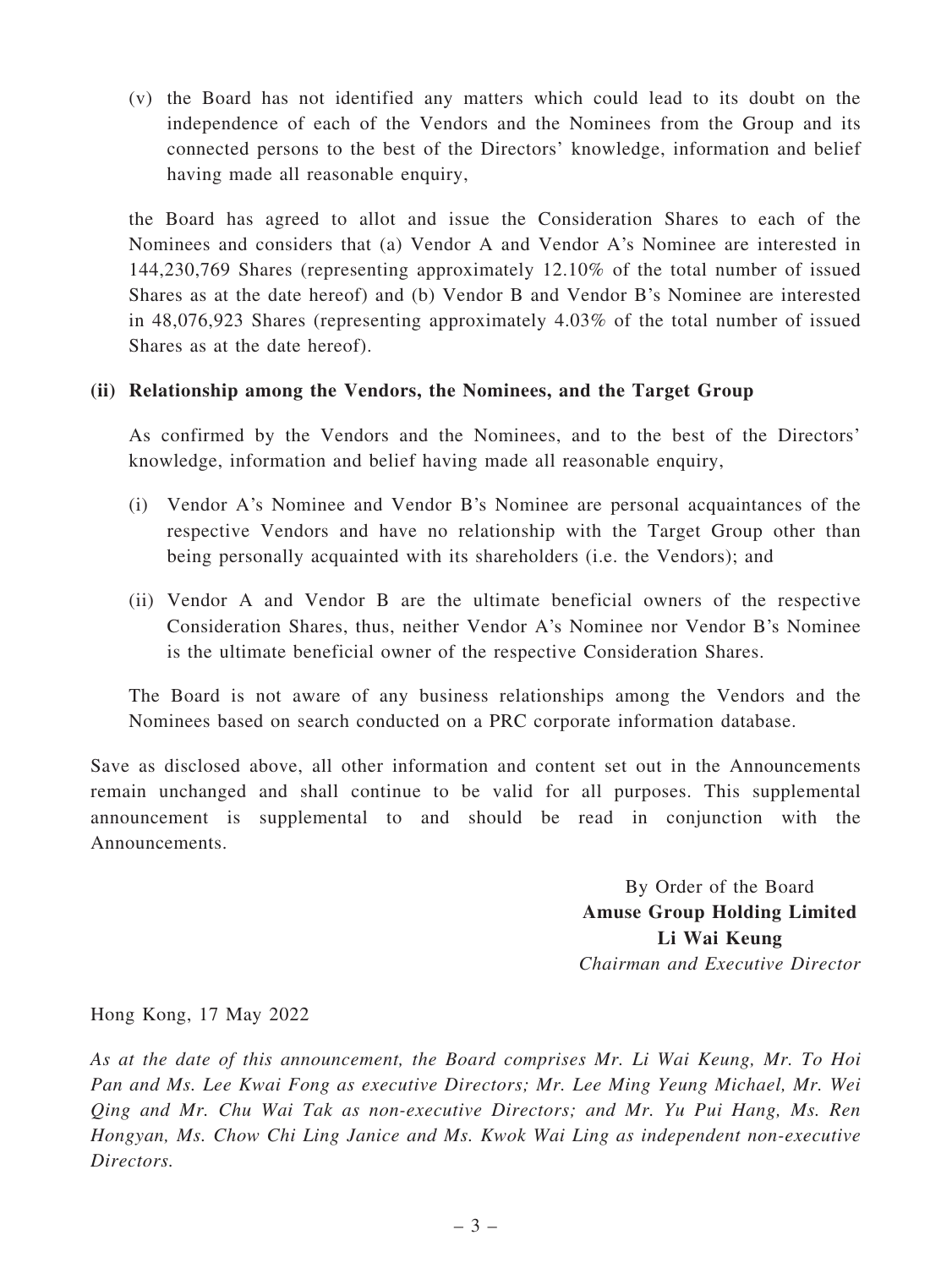(v) the Board has not identified any matters which could lead to its doubt on the independence of each of the Vendors and the Nominees from the Group and its connected persons to the best of the Directors' knowledge, information and belief having made all reasonable enquiry,

the Board has agreed to allot and issue the Consideration Shares to each of the Nominees and considers that (a) Vendor A and Vendor A's Nominee are interested in 144,230,769 Shares (representing approximately 12.10% of the total number of issued Shares as at the date hereof) and (b) Vendor B and Vendor B's Nominee are interested in 48,076,923 Shares (representing approximately 4.03% of the total number of issued Shares as at the date hereof).

## (ii) Relationship among the Vendors, the Nominees, and the Target Group

As confirmed by the Vendors and the Nominees, and to the best of the Directors' knowledge, information and belief having made all reasonable enquiry,

- (i) Vendor A's Nominee and Vendor B's Nominee are personal acquaintances of the respective Vendors and have no relationship with the Target Group other than being personally acquainted with its shareholders (i.e. the Vendors); and
- (ii) Vendor A and Vendor B are the ultimate beneficial owners of the respective Consideration Shares, thus, neither Vendor A's Nominee nor Vendor B's Nominee is the ultimate beneficial owner of the respective Consideration Shares.

The Board is not aware of any business relationships among the Vendors and the Nominees based on search conducted on a PRC corporate information database.

Save as disclosed above, all other information and content set out in the Announcements remain unchanged and shall continue to be valid for all purposes. This supplemental announcement is supplemental to and should be read in conjunction with the Announcements.

> By Order of the Board Amuse Group Holding Limited Li Wai Keung Chairman and Executive Director

Hong Kong, 17 May 2022

As at the date of this announcement, the Board comprises Mr. Li Wai Keung, Mr. To Hoi Pan and Ms. Lee Kwai Fong as executive Directors; Mr. Lee Ming Yeung Michael, Mr. Wei Qing and Mr. Chu Wai Tak as non-executive Directors; and Mr. Yu Pui Hang, Ms. Ren Hongyan, Ms. Chow Chi Ling Janice and Ms. Kwok Wai Ling as independent non-executive Directors.